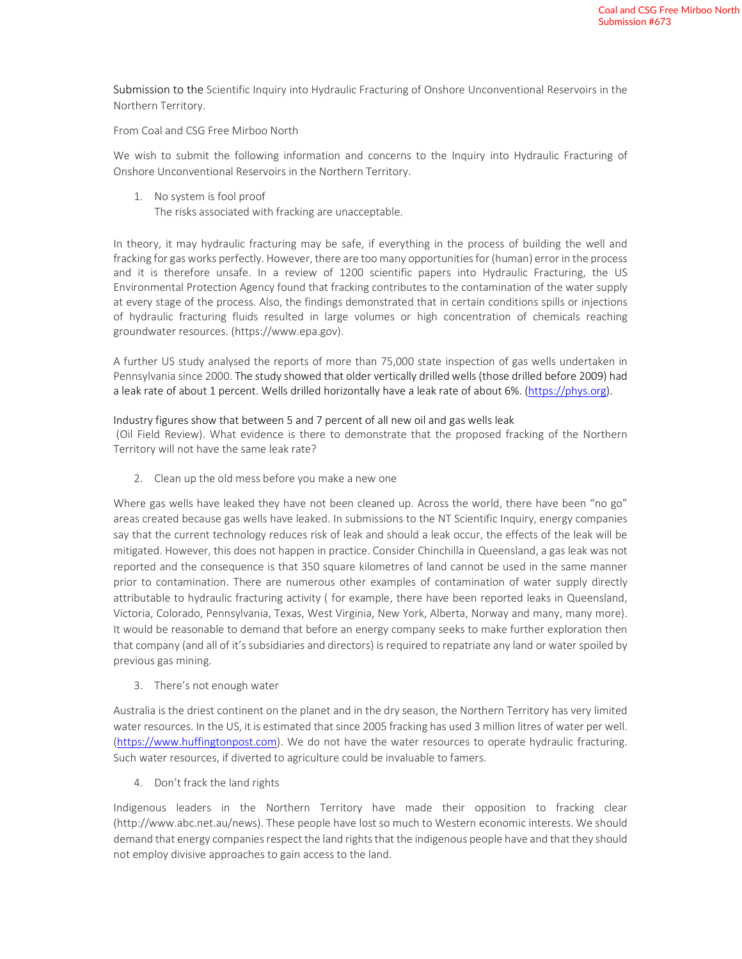Submission to the Scientific Inquiry into Hydraulic Fracturing of Onshore Unconventional Reservoirs in the Northern Territory.

From Coal and CSG Free Mirboo North

We wish to submit the following information and concerns to the Inquiry into Hydraulic Fracturing of Onshore Unconventional Reservoirs in the Northern Territory.

1. No system is fool proof The risks associated with fracking are unacceptable.

In theory, it may hydraulic fracturing may be safe, if everything in the process of building the well and fracking for gas works perfectly. However, there are too many opportunities for (human) error in the process and it is therefore unsafe. In a review of 1200 scientific papers into Hydraulic Fracturing, the US Environmental Protection Agency found that fracking contributes to the contamination of the water supply at every stage of the process. Also, the findings demonstrated that in certain conditions spills or injections of hydraulic fracturing fluids resulted in large volumes or high concentration of chemicals reaching groundwater resources. (https://www.epa.gov).

A further US study analysed the reports of more than 75,000 state inspection of gas wells undertaken in Pennsylvania since 2000. The study showed that older vertically drilled wells (those drilled before 2009) had a leak rate of about 1 percent. Wells drilled horizontally have a leak rate of about 6%. (https://phys.org).

## Industry figures show that between 5 and 7 percent of all new oil and gas wells leak

 (Oil Field Review). What evidence is there to demonstrate that the proposed fracking of the Northern Territory will not have the same leak rate?

2. Clean up the old mess before you make a new one

Where gas wells have leaked they have not been cleaned up. Across the world, there have been "no go" areas created because gas wells have leaked. In submissions to the NT Scientific Inquiry, energy companies say that the current technology reduces risk of leak and should a leak occur, the effects of the leak will be mitigated. However, this does not happen in practice. Consider Chinchilla in Queensland, a gas leak was not reported and the consequence is that 350 square kilometres of land cannot be used in the same manner prior to contamination. There are numerous other examples of contamination of water supply directly attributable to hydraulic fracturing activity ( for example, there have been reported leaks in Queensland, Victoria, Colorado, Pennsylvania, Texas, West Virginia, New York, Alberta, Norway and many, many more). It would be reasonable to demand that before an energy company seeks to make further exploration then that company (and all of it's subsidiaries and directors) is required to repatriate any land or water spoiled by previous gas mining.

3. There's not enough water

Australia is the driest continent on the planet and in the dry season, the Northern Territory has very limited water resources. In the US, it is estimated that since 2005 fracking has used 3 million litres of water per well. (https://www.huffingtonpost.com). We do not have the water resources to operate hydraulic fracturing. Such water resources, if diverted to agriculture could be invaluable to famers.

4. Don't frack the land rights

Indigenous leaders in the Northern Territory have made their opposition to fracking clear (http://www.abc.net.au/news). These people have lost so much to Western economic interests. We should demand that energy companies respect the land rights that the indigenous people have and that they should not employ divisive approaches to gain access to the land.